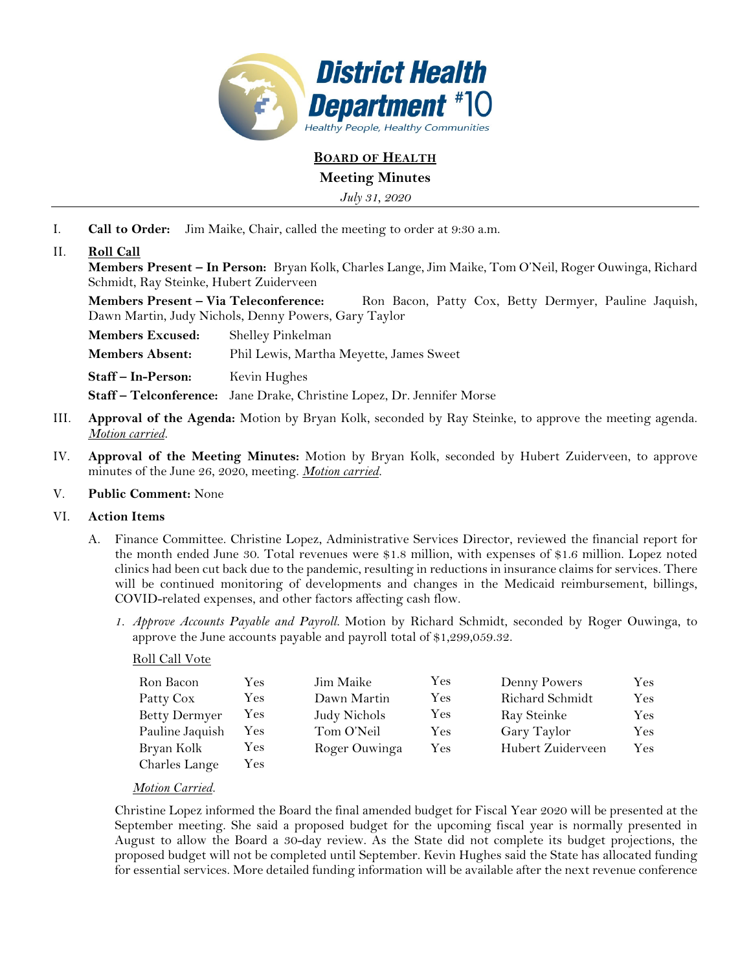

**BOARD OF HEALTH**

**Meeting Minutes** 

*July 31, 2020* 

I. **Call to Order:** Jim Maike, Chair, called the meeting to order at 9:30 a.m.

# II. **Roll Call**

**Members Present – In Person:** Bryan Kolk, Charles Lange, Jim Maike, Tom O'Neil, Roger Ouwinga, Richard Schmidt, Ray Steinke, Hubert Zuiderveen

**Members Present – Via Teleconference:** Ron Bacon, Patty Cox, Betty Dermyer, Pauline Jaquish, Dawn Martin, Judy Nichols, Denny Powers, Gary Taylor

**Members Excused:** Shelley Pinkelman **Members Absent:** Phil Lewis, Martha Meyette, James Sweet **Staff – In-Person:** Kevin Hughes **Staff – Telconference:** Jane Drake, Christine Lopez, Dr. Jennifer Morse

- III. **Approval of the Agenda:** Motion by Bryan Kolk, seconded by Ray Steinke, to approve the meeting agenda. *Motion carried.*
- IV. **Approval of the Meeting Minutes:** Motion by Bryan Kolk, seconded by Hubert Zuiderveen, to approve minutes of the June 26, 2020, meeting. *Motion carried.*
- V. **Public Comment:** None

## VI. **Action Items**

- A. Finance Committee. Christine Lopez, Administrative Services Director, reviewed the financial report for the month ended June 30. Total revenues were \$1.8 million, with expenses of \$1.6 million. Lopez noted clinics had been cut back due to the pandemic, resulting in reductions in insurance claims for services. There will be continued monitoring of developments and changes in the Medicaid reimbursement, billings, COVID-related expenses, and other factors affecting cash flow.
	- *1. Approve Accounts Payable and Payroll.* Motion by Richard Schmidt, seconded by Roger Ouwinga, to approve the June accounts payable and payroll total of \$1,299,059.32.

## Roll Call Vote

| Ron Bacon            | Yes | Jim Maike     | Yes | Denny Powers      | Yes |
|----------------------|-----|---------------|-----|-------------------|-----|
| Patty Cox            | Yes | Dawn Martin   | Yes | Richard Schmidt   | Yes |
| <b>Betty Dermyer</b> | Yes | Judy Nichols  | Yes | Ray Steinke       | Yes |
| Pauline Jaquish      | Yes | Tom O'Neil    | Yes | Gary Taylor       | Yes |
| Bryan Kolk           | Yes | Roger Ouwinga | Yes | Hubert Zuiderveen | Yes |
| Charles Lange        | Yes |               |     |                   |     |

#### *Motion Carried.*

Christine Lopez informed the Board the final amended budget for Fiscal Year 2020 will be presented at the September meeting. She said a proposed budget for the upcoming fiscal year is normally presented in August to allow the Board a 30-day review. As the State did not complete its budget projections, the proposed budget will not be completed until September. Kevin Hughes said the State has allocated funding for essential services. More detailed funding information will be available after the next revenue conference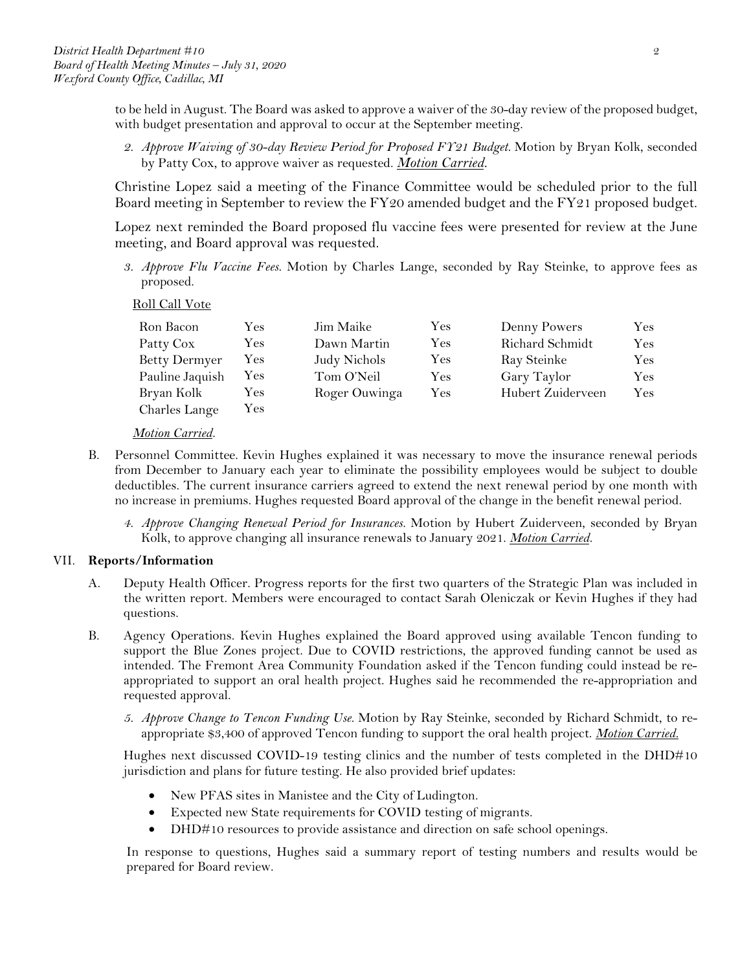to be held in August. The Board was asked to approve a waiver of the 30-day review of the proposed budget, with budget presentation and approval to occur at the September meeting.

*2. Approve Waiving of 30-day Review Period for Proposed FY21 Budget.* Motion by Bryan Kolk, seconded by Patty Cox, to approve waiver as requested. *Motion Carried.* 

Christine Lopez said a meeting of the Finance Committee would be scheduled prior to the full Board meeting in September to review the FY20 amended budget and the FY21 proposed budget.

Lopez next reminded the Board proposed flu vaccine fees were presented for review at the June meeting, and Board approval was requested.

*3. Approve Flu Vaccine Fees.* Motion by Charles Lange, seconded by Ray Steinke, to approve fees as proposed.

Roll Call Vote

| Yes        | Jim Maike     | Yes. |                   | Yes          |
|------------|---------------|------|-------------------|--------------|
| Yes        | Dawn Martin   | Yes  | Richard Schmidt   | Yes          |
| Yes        | Judy Nichols  | Yes  | Ray Steinke       | Yes          |
| Yes        | Tom O'Neil    | Yes  | Gary Taylor       | Yes          |
| <b>Yes</b> | Roger Ouwinga | Yes  | Hubert Zuiderveen | $\rm Yes$    |
| Yes        |               |      |                   |              |
|            |               |      |                   | Denny Powers |

#### *Motion Carried.*

- B. Personnel Committee. Kevin Hughes explained it was necessary to move the insurance renewal periods from December to January each year to eliminate the possibility employees would be subject to double deductibles. The current insurance carriers agreed to extend the next renewal period by one month with no increase in premiums. Hughes requested Board approval of the change in the benefit renewal period.
	- *4. Approve Changing Renewal Period for Insurances.* Motion by Hubert Zuiderveen, seconded by Bryan Kolk, to approve changing all insurance renewals to January 2021. *Motion Carried.*

#### VII. **Reports/Information**

- A. Deputy Health Officer. Progress reports for the first two quarters of the Strategic Plan was included in the written report. Members were encouraged to contact Sarah Oleniczak or Kevin Hughes if they had questions.
- B. Agency Operations. Kevin Hughes explained the Board approved using available Tencon funding to support the Blue Zones project. Due to COVID restrictions, the approved funding cannot be used as intended. The Fremont Area Community Foundation asked if the Tencon funding could instead be reappropriated to support an oral health project. Hughes said he recommended the re-appropriation and requested approval.
	- *5. Approve Change to Tencon Funding Use.* Motion by Ray Steinke, seconded by Richard Schmidt, to reappropriate \$3,400 of approved Tencon funding to support the oral health project. *Motion Carried.*

Hughes next discussed COVID-19 testing clinics and the number of tests completed in the DHD#10 jurisdiction and plans for future testing. He also provided brief updates:

- New PFAS sites in Manistee and the City of Ludington.
- Expected new State requirements for COVID testing of migrants.
- DHD#10 resources to provide assistance and direction on safe school openings.

In response to questions, Hughes said a summary report of testing numbers and results would be prepared for Board review.